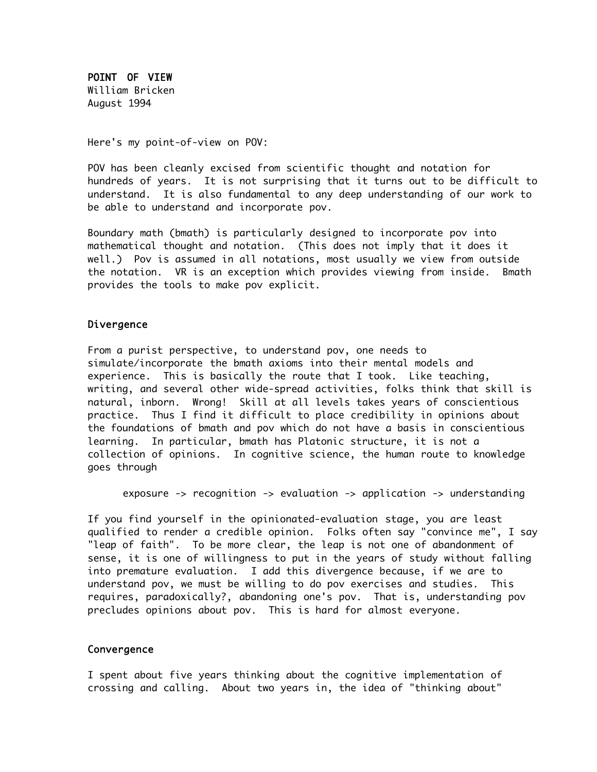POINT OF VIEW William Bricken August 1994

Here's my point-of-view on POV:

POV has been cleanly excised from scientific thought and notation for hundreds of years. It is not surprising that it turns out to be difficult to understand. It is also fundamental to any deep understanding of our work to be able to understand and incorporate pov.

Boundary math (bmath) is particularly designed to incorporate pov into mathematical thought and notation. (This does not imply that it does it well.) Pov is assumed in all notations, most usually we view from outside the notation. VR is an exception which provides viewing from inside. Bmath provides the tools to make pov explicit.

## Divergence

From a purist perspective, to understand pov, one needs to simulate/incorporate the bmath axioms into their mental models and experience. This is basically the route that I took. Like teaching, writing, and several other wide-spread activities, folks think that skill is natural, inborn. Wrong! Skill at all levels takes years of conscientious practice. Thus I find it difficult to place credibility in opinions about the foundations of bmath and pov which do not have a basis in conscientious learning. In particular, bmath has Platonic structure, it is not a collection of opinions. In cognitive science, the human route to knowledge goes through

exposure -> recognition -> evaluation -> application -> understanding

If you find yourself in the opinionated-evaluation stage, you are least qualified to render a credible opinion. Folks often say "convince me", I say "leap of faith". To be more clear, the leap is not one of abandonment of sense, it is one of willingness to put in the years of study without falling into premature evaluation. I add this divergence because, if we are to understand pov, we must be willing to do pov exercises and studies. This requires, paradoxically?, abandoning one's pov. That is, understanding pov precludes opinions about pov. This is hard for almost everyone.

## Convergence

I spent about five years thinking about the cognitive implementation of crossing and calling. About two years in, the idea of "thinking about"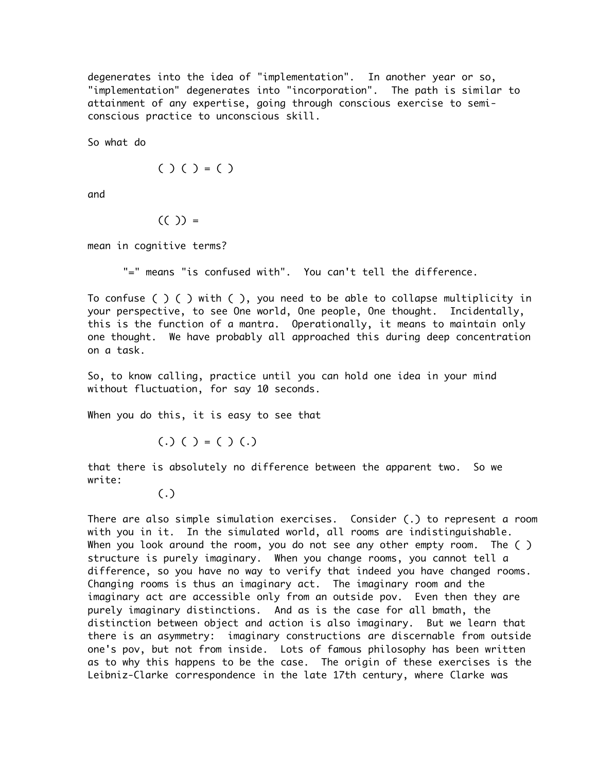degenerates into the idea of "implementation". In another year or so, "implementation" degenerates into "incorporation". The path is similar to attainment of any expertise, going through conscious exercise to semiconscious practice to unconscious skill.

So what do

$$
(\ )\ (\ )=(\ )
$$

and

$$
((\ ) )=
$$

mean in cognitive terms?

"=" means "is confused with". You can't tell the difference.

To confuse ( ) ( ) with ( ), you need to be able to collapse multiplicity in your perspective, to see One world, One people, One thought. Incidentally, this is the function of a mantra. Operationally, it means to maintain only one thought. We have probably all approached this during deep concentration on a task.

So, to know calling, practice until you can hold one idea in your mind without fluctuation, for say 10 seconds.

When you do this, it is easy to see that

 $(.)$  ( ) = ( ) (.)

that there is absolutely no difference between the apparent two. So we write:

## (.)

There are also simple simulation exercises. Consider (.) to represent a room with you in it. In the simulated world, all rooms are indistinguishable. When you look around the room, you do not see any other empty room. The () structure is purely imaginary. When you change rooms, you cannot tell a difference, so you have no way to verify that indeed you have changed rooms. Changing rooms is thus an imaginary act. The imaginary room and the imaginary act are accessible only from an outside pov. Even then they are purely imaginary distinctions. And as is the case for all bmath, the distinction between object and action is also imaginary. But we learn that there is an asymmetry: imaginary constructions are discernable from outside one's pov, but not from inside. Lots of famous philosophy has been written as to why this happens to be the case. The origin of these exercises is the Leibniz-Clarke correspondence in the late 17th century, where Clarke was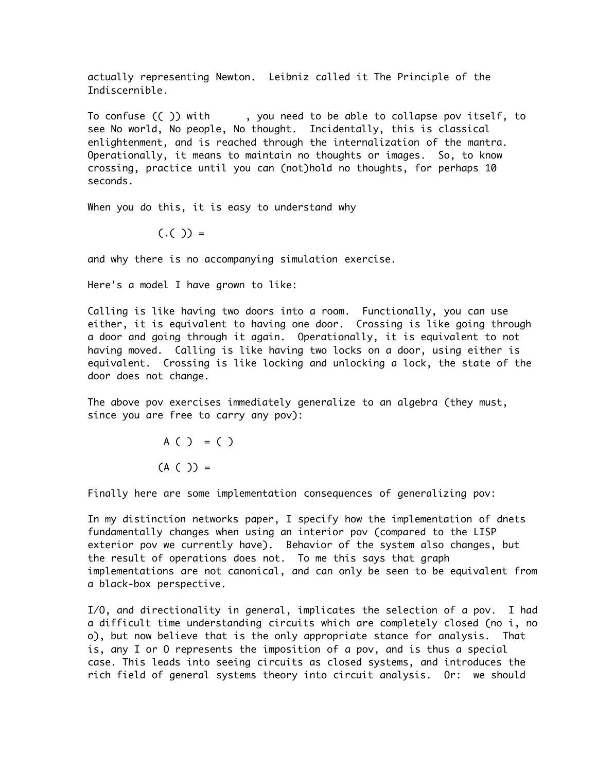actually representing Newton. Leibniz called it The Principle of the Indiscernible.

To confuse (( )) with , you need to be able to collapse pov itself, to see No world, No people, No thought. Incidentally, this is classical enlightenment, and is reached through the internalization of the mantra. Operationally, it means to maintain no thoughts or images. So, to know crossing, practice until you can (not)hold no thoughts, for perhaps 10 seconds.

When you do this, it is easy to understand why

 $(.() ) =$ 

and why there is no accompanying simulation exercise.

Here's a model I have grown to like:

Calling is like having two doors into a room. Functionally, you can use either, it is equivalent to having one door. Crossing is like going through a door and going through it again. Operationally, it is equivalent to not having moved. Calling is like having two locks on a door, using either is equivalent. Crossing is like locking and unlocking a lock, the state of the door does not change.

The above pov exercises immediately generalize to an algebra (they must, since you are free to carry any pov):

> A ( ) = ( )  $(A ( ) ) =$

Finally here are some implementation consequences of generalizing pov:

In my distinction networks paper, I specify how the implementation of dnets fundamentally changes when using an interior pov (compared to the LISP exterior pov we currently have). Behavior of the system also changes, but the result of operations does not. To me this says that graph implementations are not canonical, and can only be seen to be equivalent from a black-box perspective.

I/O, and directionality in general, implicates the selection of a pov. I had a difficult time understanding circuits which are completely closed (no i, no o), but now believe that is the only appropriate stance for analysis. That is, any I or O represents the imposition of a pov, and is thus a special case. This leads into seeing circuits as closed systems, and introduces the rich field of general systems theory into circuit analysis. Or: we should